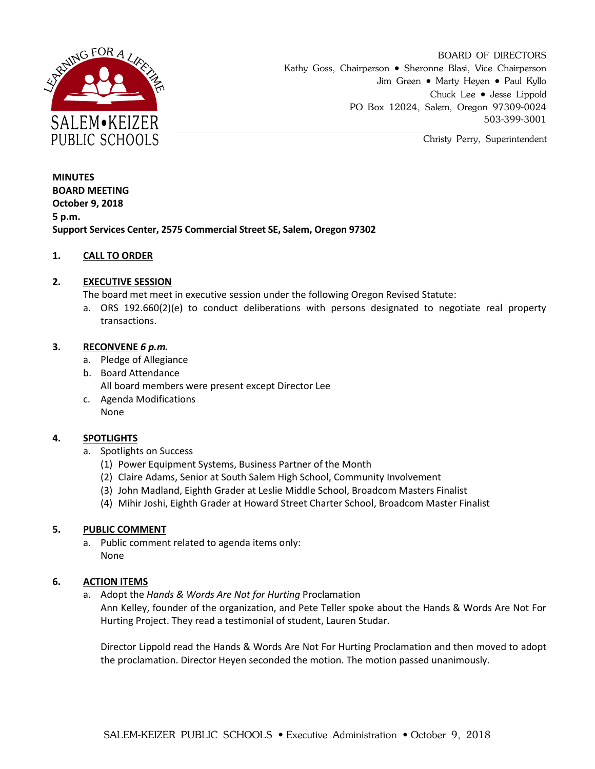

BOARD OF DIRECTORS Kathy Goss, Chairperson • Sheronne Blasi, Vice Chairperson Jim Green • Marty Heyen • Paul Kyllo Chuck Lee Jesse Lippold PO Box 12024, Salem, Oregon 97309-0024 503-399-3001

Christy Perry, Superintendent

**MINUTES BOARD MEETING October 9, 2018 5 p.m. Support Services Center, 2575 Commercial Street SE, Salem, Oregon 97302**

# **1. CALL TO ORDER**

## **2. EXECUTIVE SESSION**

The board met meet in executive session under the following Oregon Revised Statute:

a. ORS 192.660(2)(e) to conduct deliberations with persons designated to negotiate real property transactions.

## **3. RECONVENE** *6 p.m.*

- a. Pledge of Allegiance
- b. Board Attendance All board members were present except Director Lee
- c. Agenda Modifications None

# **4. SPOTLIGHTS**

- a. Spotlights on Success
	- (1) Power Equipment Systems, Business Partner of the Month
	- (2) Claire Adams, Senior at South Salem High School, Community Involvement
	- (3) John Madland, Eighth Grader at Leslie Middle School, Broadcom Masters Finalist
	- (4) Mihir Joshi, Eighth Grader at Howard Street Charter School, Broadcom Master Finalist

#### **5. PUBLIC COMMENT**

a. Public comment related to agenda items only: None

#### **6. ACTION ITEMS**

a. Adopt the *Hands & Words Are Not for Hurting* Proclamation

Ann Kelley, founder of the organization, and Pete Teller spoke about the Hands & Words Are Not For Hurting Project. They read a testimonial of student, Lauren Studar.

Director Lippold read the Hands & Words Are Not For Hurting Proclamation and then moved to adopt the proclamation. Director Heyen seconded the motion. The motion passed unanimously.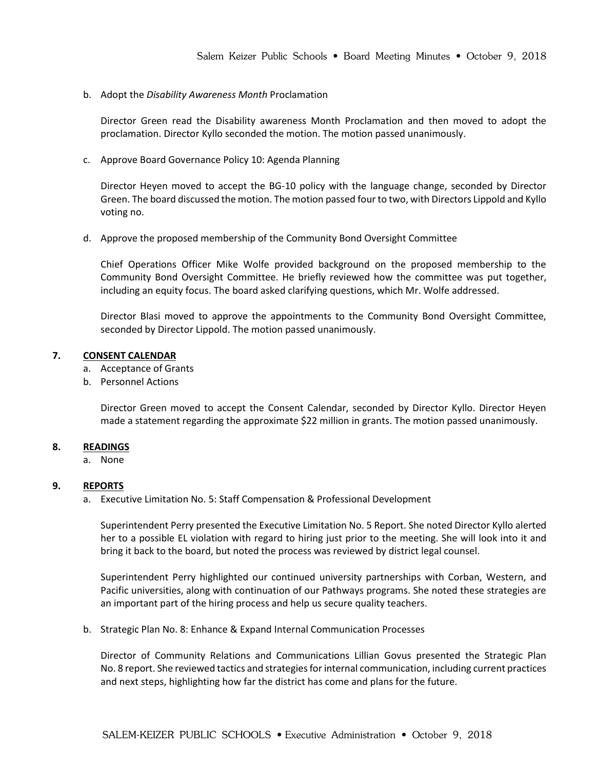b. Adopt the *Disability Awareness Month* Proclamation

Director Green read the Disability awareness Month Proclamation and then moved to adopt the proclamation. Director Kyllo seconded the motion. The motion passed unanimously.

c. Approve Board Governance Policy 10: Agenda Planning

Director Heyen moved to accept the BG-10 policy with the language change, seconded by Director Green. The board discussed the motion. The motion passed four to two, with Directors Lippold and Kyllo voting no.

d. Approve the proposed membership of the Community Bond Oversight Committee

Chief Operations Officer Mike Wolfe provided background on the proposed membership to the Community Bond Oversight Committee. He briefly reviewed how the committee was put together, including an equity focus. The board asked clarifying questions, which Mr. Wolfe addressed.

Director Blasi moved to approve the appointments to the Community Bond Oversight Committee, seconded by Director Lippold. The motion passed unanimously.

## **7. CONSENT CALENDAR**

- a. Acceptance of Grants
- b. Personnel Actions

Director Green moved to accept the Consent Calendar, seconded by Director Kyllo. Director Heyen made a statement regarding the approximate \$22 million in grants. The motion passed unanimously.

#### **8. READINGS**

a. None

#### **9. REPORTS**

a. Executive Limitation No. 5: Staff Compensation & Professional Development

Superintendent Perry presented the Executive Limitation No. 5 Report. She noted Director Kyllo alerted her to a possible EL violation with regard to hiring just prior to the meeting. She will look into it and bring it back to the board, but noted the process was reviewed by district legal counsel.

Superintendent Perry highlighted our continued university partnerships with Corban, Western, and Pacific universities, along with continuation of our Pathways programs. She noted these strategies are an important part of the hiring process and help us secure quality teachers.

b. Strategic Plan No. 8: Enhance & Expand Internal Communication Processes

Director of Community Relations and Communications Lillian Govus presented the Strategic Plan No. 8 report. She reviewed tactics and strategies for internal communication, including current practices and next steps, highlighting how far the district has come and plans for the future.